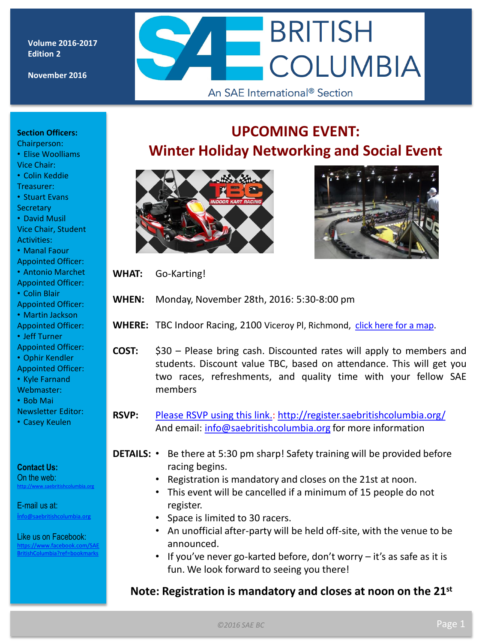**Volume 2016-2017 Edition 2**

**November 2016**

# **BRITISH COLUMBIA** An SAE International<sup>®</sup> Section

#### **Section Officers:**

- Chairperson: • Elise Woolliams Vice Chair:
- Colin Keddie
- Treasurer:
- Stuart Evans **Secretary**
- David Musil Vice Chair, Student
- Activities:
- Manal Faour Appointed Officer:
- Antonio Marchet
- Appointed Officer:
- Colin Blair
- Appointed Officer:
- Martin Jackson Appointed Officer:
- Jeff Turner
- Appointed Officer:
- Ophir Kendler Appointed Officer:
- Kyle Farnand
- Webmaster:
- Bob Mai
- Newsletter Editor:
- Casey Keulen

#### **Contact Us:**

On the web: [http://www.saebritishcolumbia.org](http://www.saebritishcolumbia.org/)

E-mail us at:

[i](mailto:info@saebritishcolumbia.org)[nfo@saebritishcolumbia.org](mailto:info@saebritishcolumbia.org)

#### Like us on Facebook:

www.facebook.com/SAE hColumbia?ref=bookmarks





- **WHAT:** Go-Karting!
- **WHEN:** Monday, November 28th, 2016: 5:30-8:00 pm
- WHERE: TBC Indoor Racing, 2100 Viceroy Pl, Richmond, [click](https://www.google.ca/maps/place/TBC+Indoor+Racing/@49.197507,-123.058988,15z/data=!4m5!3m4!1s0x0:0x1bf8f21d85ce8802!8m2!3d49.197507!4d-123.058988) [here](https://www.google.ca/maps/place/TBC+Indoor+Racing/@49.197507,-123.058988,15z/data=!4m5!3m4!1s0x0:0x1bf8f21d85ce8802!8m2!3d49.197507!4d-123.058988) [for](https://www.google.ca/maps/place/TBC+Indoor+Racing/@49.197507,-123.058988,15z/data=!4m5!3m4!1s0x0:0x1bf8f21d85ce8802!8m2!3d49.197507!4d-123.058988) [a](https://www.google.ca/maps/place/TBC+Indoor+Racing/@49.197507,-123.058988,15z/data=!4m5!3m4!1s0x0:0x1bf8f21d85ce8802!8m2!3d49.197507!4d-123.058988) [map](https://www.google.ca/maps/place/TBC+Indoor+Racing/@49.197507,-123.058988,15z/data=!4m5!3m4!1s0x0:0x1bf8f21d85ce8802!8m2!3d49.197507!4d-123.058988).
- **COST:** \$30 – Please bring cash. Discounted rates will apply to members and students. Discount value TBC, based on attendance. This will get you two races, refreshments, and quality time with your fellow SAE members
- **RSVP:** [Please](http://register.saebritishcolumbia.org/) [RSVP](http://register.saebritishcolumbia.org/) [using](http://register.saebritishcolumbia.org/) [this](http://register.saebritishcolumbia.org/) [link.](http://register.saebritishcolumbia.org/): <http://register.saebritishcolumbia.org/> And email: [info@saebritishcolumbia.org](mailto:info@saebritishcolumbia.org) for more information
- DETAILS: Be there at 5:30 pm sharp! Safety training will be provided before racing begins.
	- Registration is mandatory and closes on the 21st at noon.
	- This event will be cancelled if a minimum of 15 people do not register.
	- Space is limited to 30 racers.
	- An unofficial after-party will be held off-site, with the venue to be announced.
	- If you've never go-karted before, don't worry it's as safe as it is fun. We look forward to seeing you there!

#### **Note: Registration is mandatory and closes at noon on the 21st**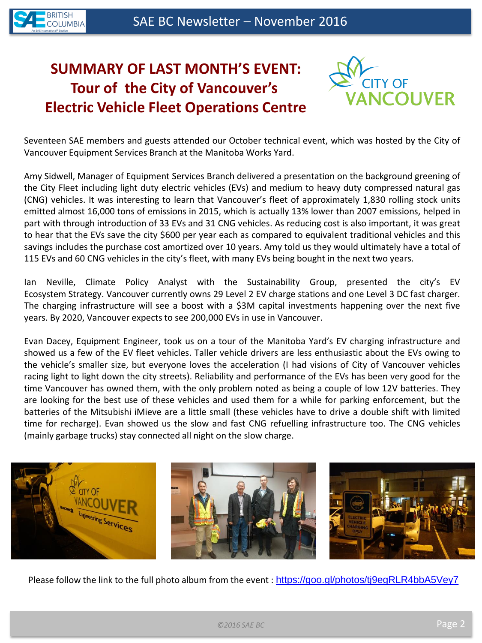

# **SUMMARY OF LAST MONTH'S EVENT: Tour of the City of Vancouver's Electric Vehicle Fleet Operations Centre**



Seventeen SAE members and guests attended our October technical event, which was hosted by the City of Vancouver Equipment Services Branch at the Manitoba Works Yard.

Amy Sidwell, Manager of Equipment Services Branch delivered a presentation on the background greening of the City Fleet including light duty electric vehicles (EVs) and medium to heavy duty compressed natural gas (CNG) vehicles. It was interesting to learn that Vancouver's fleet of approximately 1,830 rolling stock units emitted almost 16,000 tons of emissions in 2015, which is actually 13% lower than 2007 emissions, helped in part with through introduction of 33 EVs and 31 CNG vehicles. As reducing cost is also important, it was great to hear that the EVs save the city \$600 per year each as compared to equivalent traditional vehicles and this savings includes the purchase cost amortized over 10 years. Amy told us they would ultimately have a total of 115 EVs and 60 CNG vehicles in the city's fleet, with many EVs being bought in the next two years.

Ian Neville, Climate Policy Analyst with the Sustainability Group, presented the city's EV Ecosystem Strategy. Vancouver currently owns 29 Level 2 EV charge stations and one Level 3 DC fast charger. The charging infrastructure will see a boost with a \$3M capital investments happening over the next five years. By 2020, Vancouver expects to see 200,000 EVs in use in Vancouver.

Evan Dacey, Equipment Engineer, took us on a tour of the Manitoba Yard's EV charging infrastructure and showed us a few of the EV fleet vehicles. Taller vehicle drivers are less enthusiastic about the EVs owing to the vehicle's smaller size, but everyone loves the acceleration (I had visions of City of Vancouver vehicles racing light to light down the city streets). Reliability and performance of the EVs has been very good for the time Vancouver has owned them, with the only problem noted as being a couple of low 12V batteries. They are looking for the best use of these vehicles and used them for a while for parking enforcement, but the batteries of the Mitsubishi iMieve are a little small (these vehicles have to drive a double shift with limited time for recharge). Evan showed us the slow and fast CNG refuelling infrastructure too. The CNG vehicles (mainly garbage trucks) stay connected all night on the slow charge.



Please follow the link to the full photo album from the event : <https://goo.gl/photos/tj9egRLR4bbA5Vey7>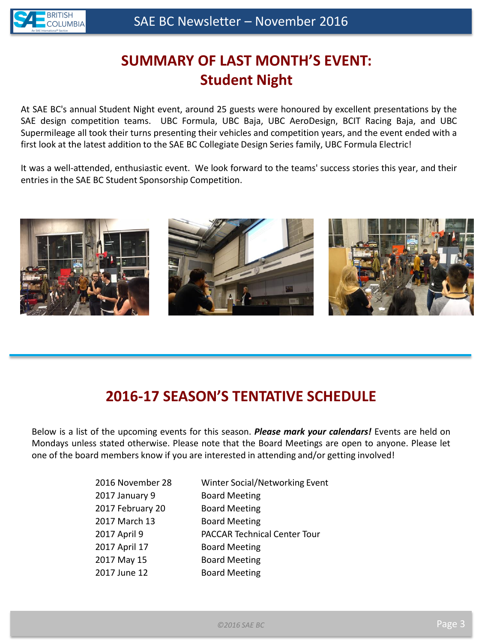

# **SUMMARY OF LAST MONTH'S EVENT: Student Night**

At SAE BC's annual Student Night event, around 25 guests were honoured by excellent presentations by the SAE design competition teams. UBC Formula, UBC Baja, UBC AeroDesign, BCIT Racing Baja, and UBC Supermileage all took their turns presenting their vehicles and competition years, and the event ended with a first look at the latest addition to the SAE BC Collegiate Design Series family, UBC Formula Electric!

It was a well-attended, enthusiastic event. We look forward to the teams' success stories this year, and their entries in the SAE BC Student Sponsorship Competition.



### **2016-17 SEASON'S TENTATIVE SCHEDULE**

Below is a list of the upcoming events for this season. *Please mark your calendars!* Events are held on Mondays unless stated otherwise. Please note that the Board Meetings are open to anyone. Please let one of the board members know if you are interested in attending and/or getting involved!

| 2016 November 28 | Winter Social/Networking Event      |
|------------------|-------------------------------------|
| 2017 January 9   | <b>Board Meeting</b>                |
| 2017 February 20 | <b>Board Meeting</b>                |
| 2017 March 13    | <b>Board Meeting</b>                |
| 2017 April 9     | <b>PACCAR Technical Center Tour</b> |
| 2017 April 17    | <b>Board Meeting</b>                |
| 2017 May 15      | <b>Board Meeting</b>                |
| 2017 June 12     | <b>Board Meeting</b>                |
|                  |                                     |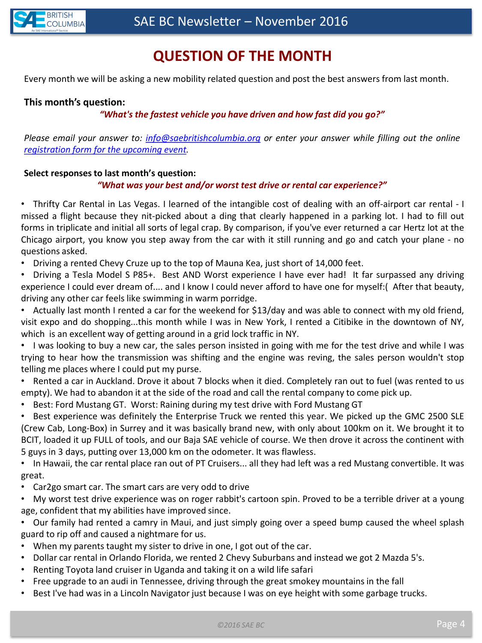

# **QUESTION OF THE MONTH**

Every month we will be asking a new mobility related question and post the best answers from last month.

#### **This month's question:**

#### *"What's the fastest vehicle you have driven and how fast did you go?"*

*Please email your answer to: [info@saebritishcolumbia.org](mailto:info@saebritishcolumbia.org) or enter your answer while filling out the online [registration](register.saebritishcolumbia.org) [form](register.saebritishcolumbia.org) [for](register.saebritishcolumbia.org) [the](register.saebritishcolumbia.org) [upcoming](register.saebritishcolumbia.org) [event.](register.saebritishcolumbia.org)*

#### **Select responses to last month's question:**

#### *"What was your best and/or worst test drive or rental car experience?"*

• Thrifty Car Rental in Las Vegas. I learned of the intangible cost of dealing with an off-airport car rental - I missed a flight because they nit-picked about a ding that clearly happened in a parking lot. I had to fill out forms in triplicate and initial all sorts of legal crap. By comparison, if you've ever returned a car Hertz lot at the Chicago airport, you know you step away from the car with it still running and go and catch your plane - no questions asked.

• Driving a rented Chevy Cruze up to the top of Mauna Kea, just short of 14,000 feet.

• Driving a Tesla Model S P85+. Best AND Worst experience I have ever had! It far surpassed any driving experience I could ever dream of.... and I know I could never afford to have one for myself:( After that beauty, driving any other car feels like swimming in warm porridge.

• Actually last month I rented a car for the weekend for \$13/day and was able to connect with my old friend, visit expo and do shopping...this month while I was in New York, I rented a Citibike in the downtown of NY, which is an excellent way of getting around in a grid lock traffic in NY.

• I was looking to buy a new car, the sales person insisted in going with me for the test drive and while I was trying to hear how the transmission was shifting and the engine was reving, the sales person wouldn't stop telling me places where I could put my purse.

• Rented a car in Auckland. Drove it about 7 blocks when it died. Completely ran out to fuel (was rented to us empty). We had to abandon it at the side of the road and call the rental company to come pick up.

• Best: Ford Mustang GT. Worst: Raining during my test drive with Ford Mustang GT

• Best experience was definitely the Enterprise Truck we rented this year. We picked up the GMC 2500 SLE (Crew Cab, Long-Box) in Surrey and it was basically brand new, with only about 100km on it. We brought it to BCIT, loaded it up FULL of tools, and our Baja SAE vehicle of course. We then drove it across the continent with 5 guys in 3 days, putting over 13,000 km on the odometer. It was flawless.

• In Hawaii, the car rental place ran out of PT Cruisers... all they had left was a red Mustang convertible. It was great.

- Car2go smart car. The smart cars are very odd to drive
- My worst test drive experience was on roger rabbit's cartoon spin. Proved to be a terrible driver at a young age, confident that my abilities have improved since.

• Our family had rented a camry in Maui, and just simply going over a speed bump caused the wheel splash guard to rip off and caused a nightmare for us.

- When my parents taught my sister to drive in one, I got out of the car.
- Dollar car rental in Orlando Florida, we rented 2 Chevy Suburbans and instead we got 2 Mazda 5's.
- Renting Toyota land cruiser in Uganda and taking it on a wild life safari
- Free upgrade to an audi in Tennessee, driving through the great smokey mountains in the fall
- Best I've had was in a Lincoln Navigator just because I was on eye height with some garbage trucks.